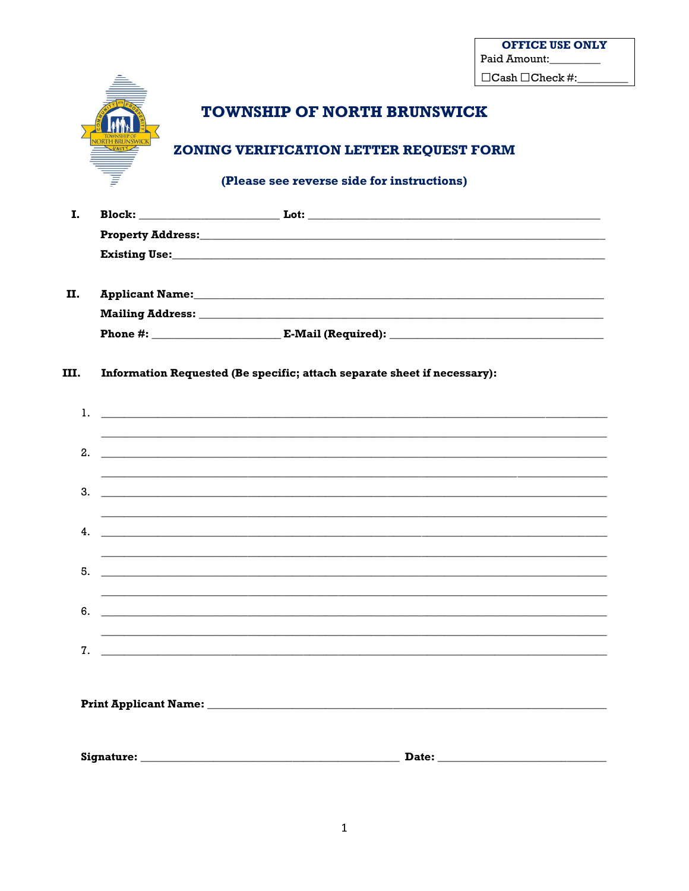| <b>OFFICE USE ONLY</b>      |
|-----------------------------|
| Paid Amount:                |
| $\Box$ Cash $\Box$ Check #: |



## TOWNSHIP OF NORTH BRUNSWICK

## ZONING VERIFICATION LETTER REQUEST FORM

(Please see reverse side for instructions)

|    | <b>Block:</b><br>Lot: the contract of the contract of the contract of the contract of the contract of the contract of the contract of the contract of the contract of the contract of the contract of the contract of the contract of the contr |
|----|-------------------------------------------------------------------------------------------------------------------------------------------------------------------------------------------------------------------------------------------------|
|    |                                                                                                                                                                                                                                                 |
|    |                                                                                                                                                                                                                                                 |
|    |                                                                                                                                                                                                                                                 |
| П. | <b>Applicant Name:</b>                                                                                                                                                                                                                          |
|    | <b>Mailing Address:</b>                                                                                                                                                                                                                         |

| Phone $#$ : | E-Mail (Required): |
|-------------|--------------------|
|             |                    |

## III. Information Requested (Be specific; attach separate sheet if necessary):

| 1. |                                                                                                                       |  |  |  |
|----|-----------------------------------------------------------------------------------------------------------------------|--|--|--|
| 2. | <u>. A shekara ta 1999 na matsayin sa sanadka sa sanadka sa sanadka sa sanadka sa sanadka sa sanadka sa sanadka s</u> |  |  |  |
| 3. |                                                                                                                       |  |  |  |
|    |                                                                                                                       |  |  |  |
| 4. |                                                                                                                       |  |  |  |
| 5. |                                                                                                                       |  |  |  |
| 6. | <u> 1989 - Johann Stoff, deutscher Stoff, der Stoff, der Stoff, der Stoff, der Stoff, der Stoff, der Stoff, der S</u> |  |  |  |
| 7. |                                                                                                                       |  |  |  |
|    |                                                                                                                       |  |  |  |
|    |                                                                                                                       |  |  |  |
|    |                                                                                                                       |  |  |  |
|    |                                                                                                                       |  |  |  |